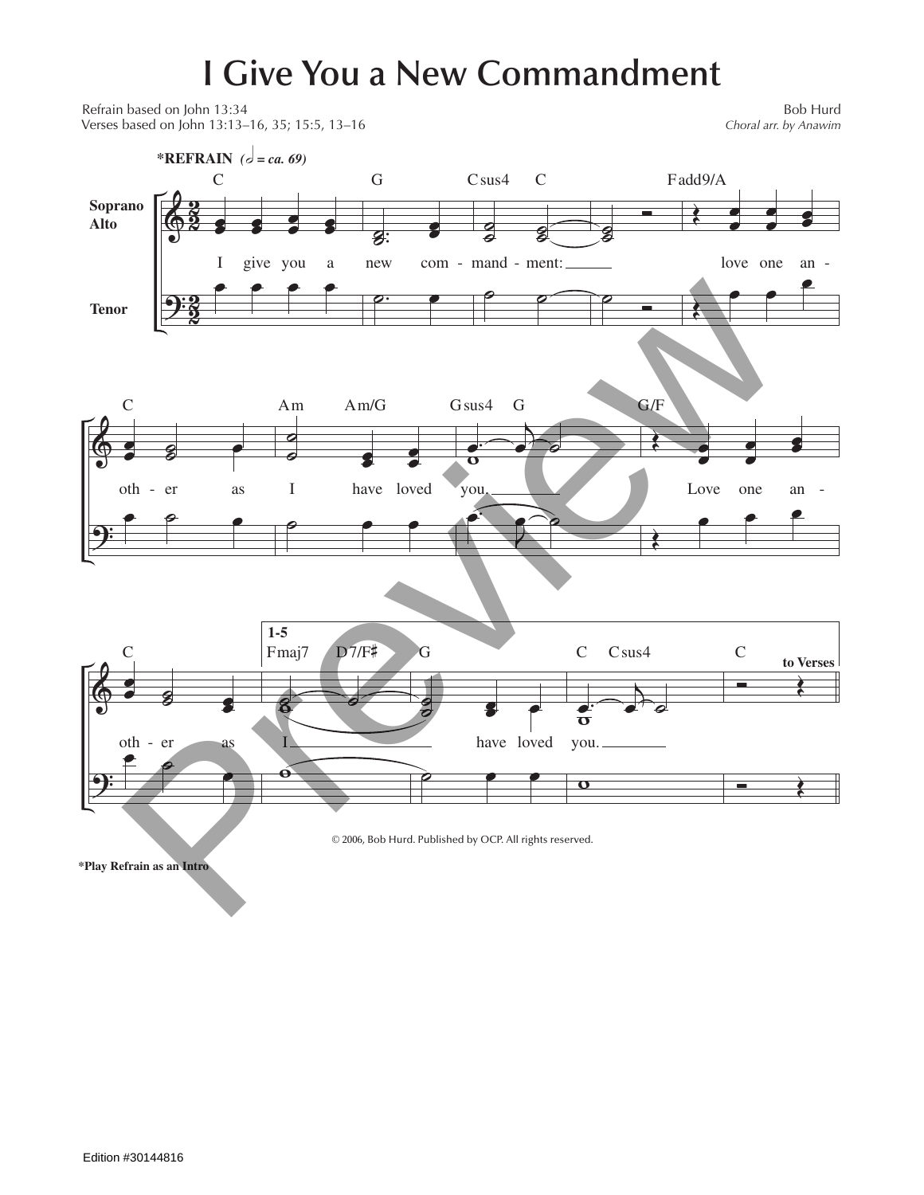## **I Give You a New Commandment**